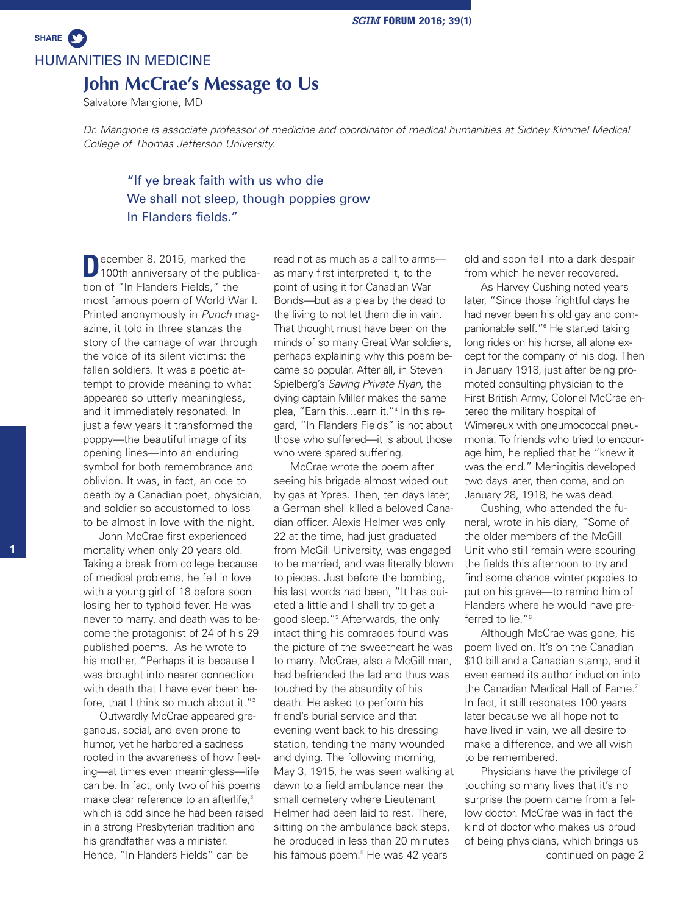# HUMANITIES IN MEDICINE

**SHARE**

### **John McCrae's Message to Us**

Salvatore Mangione, MD

*Dr. Mangione is associate professor of medicine and coordinator of medical humanities at Sidney Kimmel Medical College of Thomas Jefferson University.*

## "If ye break faith with us who die We shall not sleep, though poppies grow In Flanders fields."

**D**ecember 8, 2015, marked the<br>100th anniversary of the publication of "In Flanders Fields," the most famous poem of World War I. Printed anonymously in *Punch* magazine, it told in three stanzas the story of the carnage of war through the voice of its silent victims: the fallen soldiers. It was a poetic attempt to provide meaning to what appeared so utterly meaningless, and it immediately resonated. In just a few years it transformed the poppy—the beautiful image of its opening lines—into an enduring symbol for both remembrance and oblivion. It was, in fact, an ode to death by a Canadian poet, physician, and soldier so accustomed to loss to be almost in love with the night.

John McCrae first experienced mortality when only 20 years old. Taking a break from college because of medical problems, he fell in love with a young girl of 18 before soon losing her to typhoid fever. He was never to marry, and death was to become the protagonist of 24 of his 29 published poems. <sup>1</sup> As he wrote to his mother, "Perhaps it is because I was brought into nearer connection with death that I have ever been before, that I think so much about it."<sup>2</sup>

Outwardly McCrae appeared gregarious, social, and even prone to humor, yet he harbored a sadness rooted in the awareness of how fleeting—at times even meaningless—life can be. In fact, only two of his poems make clear reference to an afterlife,<sup>3</sup> which is odd since he had been raised in a strong Presbyterian tradition and his grandfather was a minister. Hence, "In Flanders Fields" can be

read not as much as a call to arms as many first interpreted it, to the point of using it for Canadian War Bonds—but as a plea by the dead to the living to not let them die in vain. That thought must have been on the minds of so many Great War soldiers, perhaps explaining why this poem became so popular. After all, in Steven Spielberg's *Saving Private Ryan*, the dying captain Miller makes the same plea, "Earn this…earn it."4 In this regard, "In Flanders Fields" is not about those who suffered—it is about those who were spared suffering.

McCrae wrote the poem after seeing his brigade almost wiped out by gas at Ypres. Then, ten days later, a German shell killed a beloved Canadian officer. Alexis Helmer was only 22 at the time, had just graduated from McGill University, was engaged to be married, and was literally blown to pieces. Just before the bombing, his last words had been, "It has quieted a little and I shall try to get a good sleep."3 Afterwards, the only intact thing his comrades found was the picture of the sweetheart he was to marry. McCrae, also a McGill man, had befriended the lad and thus was touched by the absurdity of his death. He asked to perform his friend's burial service and that evening went back to his dressing station, tending the many wounded and dying. The following morning, May 3, 1915, he was seen walking at dawn to a field ambulance near the small cemetery where Lieutenant Helmer had been laid to rest. There, sitting on the ambulance back steps, he produced in less than 20 minutes his famous poem. <sup>5</sup> He was 42 years

old and soon fell into a dark despair from which he never recovered.

As Harvey Cushing noted years later, "Since those frightful days he had never been his old gay and companionable self."6 He started taking long rides on his horse, all alone except for the company of his dog. Then in January 1918, just after being promoted consulting physician to the First British Army, Colonel McCrae entered the military hospital of Wimereux with pneumococcal pneumonia. To friends who tried to encourage him, he replied that he "knew it was the end." Meningitis developed two days later, then coma, and on January 28, 1918, he was dead.

Cushing, who attended the funeral, wrote in his diary, "Some of the older members of the McGill Unit who still remain were scouring the fields this afternoon to try and find some chance winter poppies to put on his grave—to remind him of Flanders where he would have preferred to lie."<sup>6</sup>

Although McCrae was gone, his poem lived on. It's on the Canadian \$10 bill and a Canadian stamp, and it even earned its author induction into the Canadian Medical Hall of Fame. 7 In fact, it still resonates 100 years later because we all hope not to have lived in vain, we all desire to make a difference, and we all wish to be remembered.

Physicians have the privilege of touching so many lives that it's no surprise the poem came from a fellow doctor. McCrae was in fact the kind of doctor who makes us proud of being physicians, which brings us continued on page 2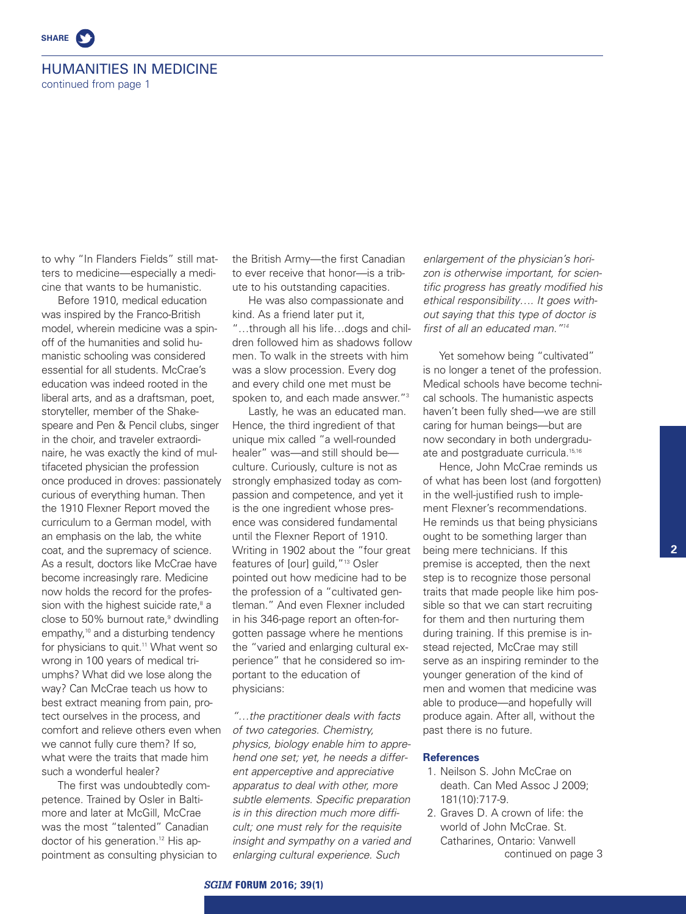

### HUMANITIES IN MEDICINE

continued from page 1

to why "In Flanders Fields" still matters to medicine—especially a medicine that wants to be humanistic.

Before 1910, medical education was inspired by the Franco-British model, wherein medicine was a spinoff of the humanities and solid humanistic schooling was considered essential for all students. McCrae's education was indeed rooted in the liberal arts, and as a draftsman, poet, storyteller, member of the Shakespeare and Pen & Pencil clubs, singer in the choir, and traveler extraordinaire, he was exactly the kind of multifaceted physician the profession once produced in droves: passionately curious of everything human. Then the 1910 Flexner Report moved the curriculum to a German model, with an emphasis on the lab, the white coat, and the supremacy of science. As a result, doctors like McCrae have become increasingly rare. Medicine now holds the record for the profession with the highest suicide rate, <sup>8</sup> a close to 50% burnout rate, <sup>9</sup> dwindling empathy, <sup>10</sup> and a disturbing tendency for physicians to quit. <sup>11</sup> What went so wrong in 100 years of medical triumphs? What did we lose along the way? Can McCrae teach us how to best extract meaning from pain, protect ourselves in the process, and comfort and relieve others even when we cannot fully cure them? If so, what were the traits that made him such a wonderful healer?

The first was undoubtedly competence. Trained by Osler in Baltimore and later at McGill, McCrae was the most "talented" Canadian doctor of his generation. <sup>12</sup> His appointment as consulting physician to

the British Army—the first Canadian to ever receive that honor—is a tribute to his outstanding capacities.

He was also compassionate and kind. As a friend later put it, "…through all his life…dogs and children followed him as shadows follow men. To walk in the streets with him was a slow procession. Every dog and every child one met must be spoken to, and each made answer."3

Lastly, he was an educated man. Hence, the third ingredient of that unique mix called "a well-rounded healer" was—and still should be culture. Curiously, culture is not as strongly emphasized today as compassion and competence, and yet it is the one ingredient whose presence was considered fundamental until the Flexner Report of 1910. Writing in 1902 about the "four great features of [our] guild,"13 Osler pointed out how medicine had to be the profession of a "cultivated gentleman." And even Flexner included in his 346-page report an often-forgotten passage where he mentions the "varied and enlarging cultural experience" that he considered so important to the education of physicians:

*"…the practitioner deals with facts of two categories. Chemistry, physics, biology enable him to apprehend one set; yet, he needs a different apperceptive and appreciative apparatus to deal with other, more subtle elements. Specific preparation is in this direction much more difficult; one must rely for the requisite insight and sympathy on a varied and enlarging cultural experience. Such*

*enlargement of the physician's horizon is otherwise important, for scientific progress has greatly modified his ethical responsibility…. It goes without saying that this type of doctor is first of all an educated man."14*

Yet somehow being "cultivated" is no longer a tenet of the profession. Medical schools have become technical schools. The humanistic aspects haven't been fully shed—we are still caring for human beings—but are now secondary in both undergraduate and postgraduate curricula. 15,16

Hence, John McCrae reminds us of what has been lost (and forgotten) in the well-justified rush to implement Flexner's recommendations. He reminds us that being physicians ought to be something larger than being mere technicians. If this premise is accepted, then the next step is to recognize those personal traits that made people like him possible so that we can start recruiting for them and then nurturing them during training. If this premise is instead rejected, McCrae may still serve as an inspiring reminder to the younger generation of the kind of men and women that medicine was able to produce—and hopefully will produce again. After all, without the past there is no future.

#### **References**

- 1. Neilson S. John McCrae on death. Can Med Assoc J 2009; 181(10):717-9.
- 2. Graves D. A crown of life: the world of John McCrae. St. Catharines, Ontario: Vanwell continued on page 3

**2**